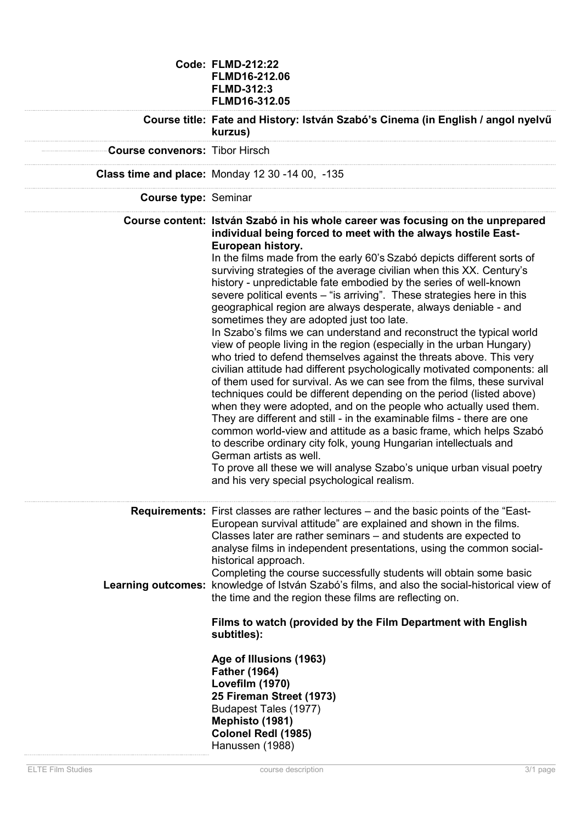|                                       | <b>Code: FLMD-212:22</b><br>FLMD16-212.06<br><b>FLMD-312:3</b><br>FLMD16-312.05                                                                                                                                                                                                                                                                                                                                                                                                                                                                                                                                                                                                                                                                                                                                                                                                                                                                                                                                                                                                                                                                                                                                                                                                                                                                                                                                                                                                             |
|---------------------------------------|---------------------------------------------------------------------------------------------------------------------------------------------------------------------------------------------------------------------------------------------------------------------------------------------------------------------------------------------------------------------------------------------------------------------------------------------------------------------------------------------------------------------------------------------------------------------------------------------------------------------------------------------------------------------------------------------------------------------------------------------------------------------------------------------------------------------------------------------------------------------------------------------------------------------------------------------------------------------------------------------------------------------------------------------------------------------------------------------------------------------------------------------------------------------------------------------------------------------------------------------------------------------------------------------------------------------------------------------------------------------------------------------------------------------------------------------------------------------------------------------|
|                                       | Course title: Fate and History: István Szabó's Cinema (in English / angol nyelvű<br>kurzus)                                                                                                                                                                                                                                                                                                                                                                                                                                                                                                                                                                                                                                                                                                                                                                                                                                                                                                                                                                                                                                                                                                                                                                                                                                                                                                                                                                                                 |
| <b>Course convenors: Tibor Hirsch</b> |                                                                                                                                                                                                                                                                                                                                                                                                                                                                                                                                                                                                                                                                                                                                                                                                                                                                                                                                                                                                                                                                                                                                                                                                                                                                                                                                                                                                                                                                                             |
|                                       | <b>Class time and place: Monday 12 30 -14 00, -135</b>                                                                                                                                                                                                                                                                                                                                                                                                                                                                                                                                                                                                                                                                                                                                                                                                                                                                                                                                                                                                                                                                                                                                                                                                                                                                                                                                                                                                                                      |
| <b>Course type: Seminar</b>           |                                                                                                                                                                                                                                                                                                                                                                                                                                                                                                                                                                                                                                                                                                                                                                                                                                                                                                                                                                                                                                                                                                                                                                                                                                                                                                                                                                                                                                                                                             |
|                                       | Course content: István Szabó in his whole career was focusing on the unprepared<br>individual being forced to meet with the always hostile East-<br>European history.<br>In the films made from the early 60's Szabó depicts different sorts of<br>surviving strategies of the average civilian when this XX. Century's<br>history - unpredictable fate embodied by the series of well-known<br>severe political events – "is arriving". These strategies here in this<br>geographical region are always desperate, always deniable - and<br>sometimes they are adopted just too late.<br>In Szabo's films we can understand and reconstruct the typical world<br>view of people living in the region (especially in the urban Hungary)<br>who tried to defend themselves against the threats above. This very<br>civilian attitude had different psychologically motivated components: all<br>of them used for survival. As we can see from the films, these survival<br>techniques could be different depending on the period (listed above)<br>when they were adopted, and on the people who actually used them.<br>They are different and still - in the examinable films - there are one<br>common world-view and attitude as a basic frame, which helps Szabó<br>to describe ordinary city folk, young Hungarian intellectuals and<br>German artists as well.<br>To prove all these we will analyse Szabo's unique urban visual poetry<br>and his very special psychological realism. |
|                                       | <b>Requirements:</b> First classes are rather lectures – and the basic points of the "East-<br>European survival attitude" are explained and shown in the films.<br>Classes later are rather seminars – and students are expected to<br>analyse films in independent presentations, using the common social-<br>historical approach.<br>Completing the course successfully students will obtain some basic<br>Learning outcomes: knowledge of István Szabó's films, and also the social-historical view of<br>the time and the region these films are reflecting on.<br>Films to watch (provided by the Film Department with English<br>subtitles):                                                                                                                                                                                                                                                                                                                                                                                                                                                                                                                                                                                                                                                                                                                                                                                                                                         |
|                                       | Age of Illusions (1963)<br><b>Father (1964)</b><br>Lovefilm (1970)<br>25 Fireman Street (1973)<br>Budapest Tales (1977)<br>Mephisto (1981)<br>Colonel Redl (1985)<br>Hanussen (1988)                                                                                                                                                                                                                                                                                                                                                                                                                                                                                                                                                                                                                                                                                                                                                                                                                                                                                                                                                                                                                                                                                                                                                                                                                                                                                                        |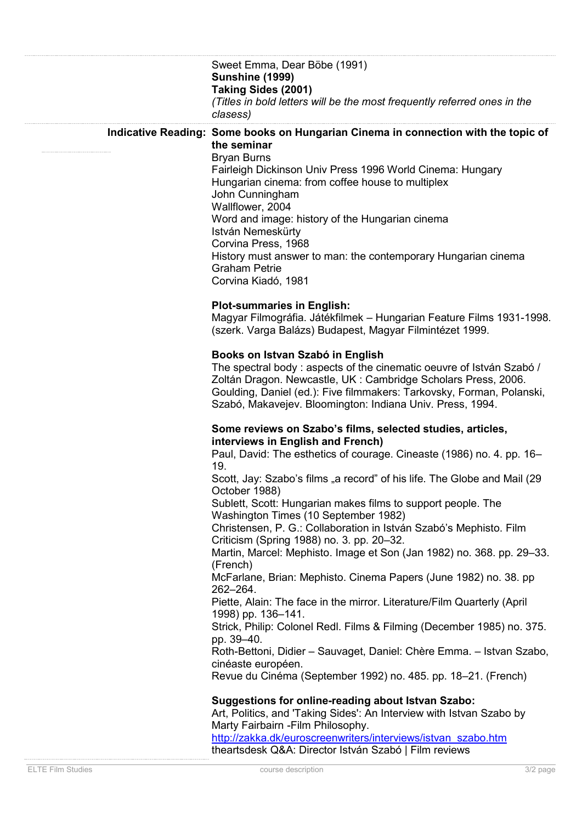| Sweet Emma, Dear Böbe (1991)<br>Sunshine (1999)<br>Taking Sides (2001)<br>(Titles in bold letters will be the most frequently referred ones in the<br>clasess)<br>Indicative Reading: Some books on Hungarian Cinema in connection with the topic of<br>the seminar<br><b>Bryan Burns</b><br>Fairleigh Dickinson Univ Press 1996 World Cinema: Hungary<br>Hungarian cinema: from coffee house to multiplex<br>John Cunningham<br>Wallflower, 2004<br>Word and image: history of the Hungarian cinema<br>István Nemeskürty<br>Corvina Press, 1968<br>History must answer to man: the contemporary Hungarian cinema<br><b>Graham Petrie</b><br>Corvina Kiadó, 1981<br><b>Plot-summaries in English:</b><br>Magyar Filmográfia. Játékfilmek – Hungarian Feature Films 1931-1998.<br>(szerk. Varga Balázs) Budapest, Magyar Filmintézet 1999.<br>Books on Istvan Szabó in English<br>The spectral body : aspects of the cinematic oeuvre of István Szabó /<br>Zoltán Dragon. Newcastle, UK: Cambridge Scholars Press, 2006.<br>Goulding, Daniel (ed.): Five filmmakers: Tarkovsky, Forman, Polanski,<br>Szabó, Makavejev. Bloomington: Indiana Univ. Press, 1994.                                                                                                                    |
|----------------------------------------------------------------------------------------------------------------------------------------------------------------------------------------------------------------------------------------------------------------------------------------------------------------------------------------------------------------------------------------------------------------------------------------------------------------------------------------------------------------------------------------------------------------------------------------------------------------------------------------------------------------------------------------------------------------------------------------------------------------------------------------------------------------------------------------------------------------------------------------------------------------------------------------------------------------------------------------------------------------------------------------------------------------------------------------------------------------------------------------------------------------------------------------------------------------------------------------------------------------------------------|
|                                                                                                                                                                                                                                                                                                                                                                                                                                                                                                                                                                                                                                                                                                                                                                                                                                                                                                                                                                                                                                                                                                                                                                                                                                                                                  |
|                                                                                                                                                                                                                                                                                                                                                                                                                                                                                                                                                                                                                                                                                                                                                                                                                                                                                                                                                                                                                                                                                                                                                                                                                                                                                  |
|                                                                                                                                                                                                                                                                                                                                                                                                                                                                                                                                                                                                                                                                                                                                                                                                                                                                                                                                                                                                                                                                                                                                                                                                                                                                                  |
| Some reviews on Szabo's films, selected studies, articles,<br>interviews in English and French)<br>Paul, David: The esthetics of courage. Cineaste (1986) no. 4. pp. 16-<br>19.<br>Scott, Jay: Szabo's films "a record" of his life. The Globe and Mail (29<br>October 1988)<br>Sublett, Scott: Hungarian makes films to support people. The<br>Washington Times (10 September 1982)<br>Christensen, P. G.: Collaboration in István Szabó's Mephisto. Film<br>Criticism (Spring 1988) no. 3. pp. 20-32.<br>Martin, Marcel: Mephisto. Image et Son (Jan 1982) no. 368. pp. 29-33.<br>(French)<br>McFarlane, Brian: Mephisto. Cinema Papers (June 1982) no. 38. pp<br>262-264.<br>Piette, Alain: The face in the mirror. Literature/Film Quarterly (April<br>1998) pp. 136-141.<br>Strick, Philip: Colonel Redl. Films & Filming (December 1985) no. 375.<br>pp. 39-40.<br>Roth-Bettoni, Didier - Sauvaget, Daniel: Chère Emma. - Istvan Szabo,<br>cinéaste européen.<br>Revue du Cinéma (September 1992) no. 485. pp. 18–21. (French)<br><b>Suggestions for online-reading about Istvan Szabo:</b><br>Art, Politics, and 'Taking Sides': An Interview with Istvan Szabo by<br>Marty Fairbairn - Film Philosophy.<br>http://zakka.dk/euroscreenwriters/interviews/istvan_szabo.htm |
| theartsdesk Q&A: Director István Szabó   Film reviews<br><b>ELTE Film Studies</b><br>course description<br>$3/2$ page                                                                                                                                                                                                                                                                                                                                                                                                                                                                                                                                                                                                                                                                                                                                                                                                                                                                                                                                                                                                                                                                                                                                                            |